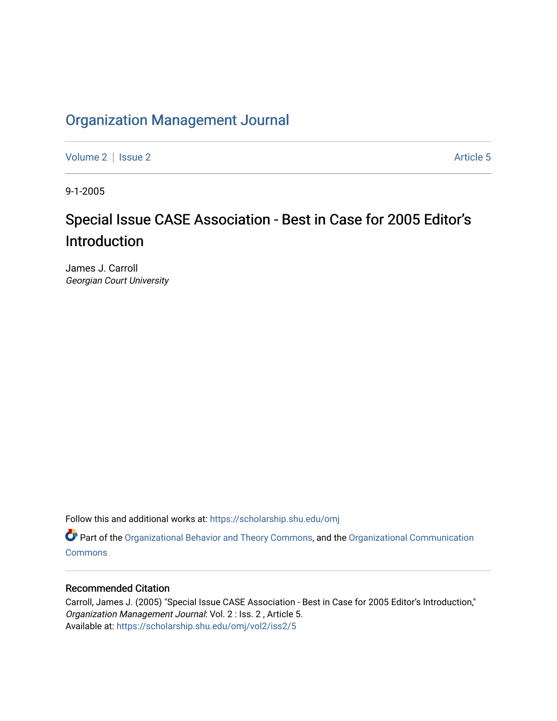## [Organization Management Journal](https://scholarship.shu.edu/omj)

[Volume 2](https://scholarship.shu.edu/omj/vol2) | [Issue 2](https://scholarship.shu.edu/omj/vol2/iss2) Article 5

9-1-2005

## Special Issue CASE Association - Best in Case for 2005 Editor's Introduction

James J. Carroll Georgian Court University

Follow this and additional works at: [https://scholarship.shu.edu/omj](https://scholarship.shu.edu/omj?utm_source=scholarship.shu.edu%2Fomj%2Fvol2%2Fiss2%2F5&utm_medium=PDF&utm_campaign=PDFCoverPages) 

Part of the [Organizational Behavior and Theory Commons,](http://network.bepress.com/hgg/discipline/639?utm_source=scholarship.shu.edu%2Fomj%2Fvol2%2Fiss2%2F5&utm_medium=PDF&utm_campaign=PDFCoverPages) and the [Organizational Communication](http://network.bepress.com/hgg/discipline/335?utm_source=scholarship.shu.edu%2Fomj%2Fvol2%2Fiss2%2F5&utm_medium=PDF&utm_campaign=PDFCoverPages) **[Commons](http://network.bepress.com/hgg/discipline/335?utm_source=scholarship.shu.edu%2Fomj%2Fvol2%2Fiss2%2F5&utm_medium=PDF&utm_campaign=PDFCoverPages)** 

## Recommended Citation

Carroll, James J. (2005) "Special Issue CASE Association - Best in Case for 2005 Editor's Introduction," Organization Management Journal: Vol. 2 : Iss. 2 , Article 5. Available at: [https://scholarship.shu.edu/omj/vol2/iss2/5](https://scholarship.shu.edu/omj/vol2/iss2/5?utm_source=scholarship.shu.edu%2Fomj%2Fvol2%2Fiss2%2F5&utm_medium=PDF&utm_campaign=PDFCoverPages)